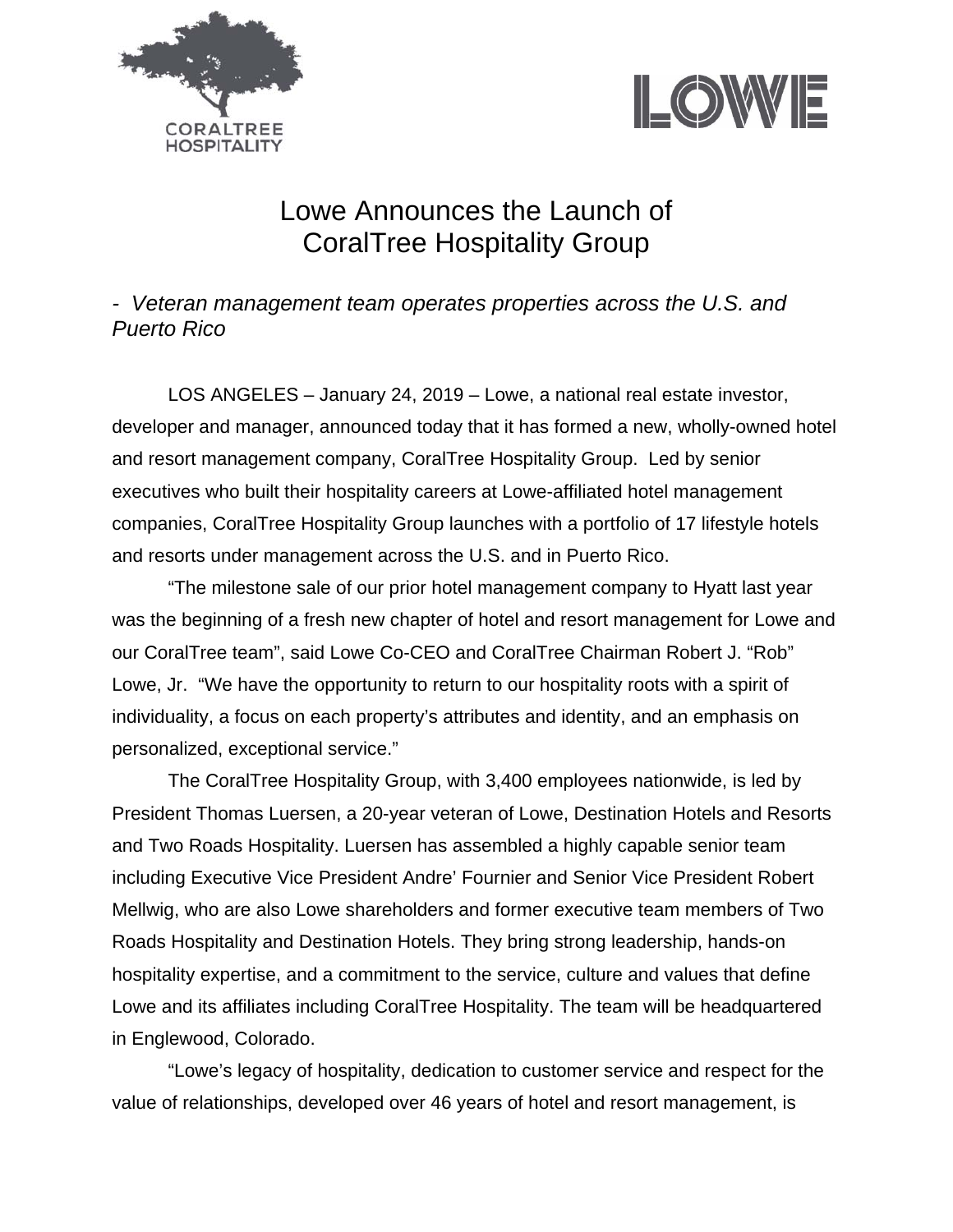



## Lowe Announces the Launch of CoralTree Hospitality Group

*- Veteran management team operates properties across the U.S. and Puerto Rico* 

LOS ANGELES – January 24, 2019 – Lowe, a national real estate investor, developer and manager, announced today that it has formed a new, wholly-owned hotel and resort management company, CoralTree Hospitality Group. Led by senior executives who built their hospitality careers at Lowe-affiliated hotel management companies, CoralTree Hospitality Group launches with a portfolio of 17 lifestyle hotels and resorts under management across the U.S. and in Puerto Rico.

"The milestone sale of our prior hotel management company to Hyatt last year was the beginning of a fresh new chapter of hotel and resort management for Lowe and our CoralTree team", said Lowe Co-CEO and CoralTree Chairman Robert J. "Rob" Lowe, Jr. "We have the opportunity to return to our hospitality roots with a spirit of individuality, a focus on each property's attributes and identity, and an emphasis on personalized, exceptional service."

 The CoralTree Hospitality Group, with 3,400 employees nationwide, is led by President Thomas Luersen, a 20-year veteran of Lowe, Destination Hotels and Resorts and Two Roads Hospitality. Luersen has assembled a highly capable senior team including Executive Vice President Andre' Fournier and Senior Vice President Robert Mellwig, who are also Lowe shareholders and former executive team members of Two Roads Hospitality and Destination Hotels. They bring strong leadership, hands-on hospitality expertise, and a commitment to the service, culture and values that define Lowe and its affiliates including CoralTree Hospitality. The team will be headquartered in Englewood, Colorado.

"Lowe's legacy of hospitality, dedication to customer service and respect for the value of relationships, developed over 46 years of hotel and resort management, is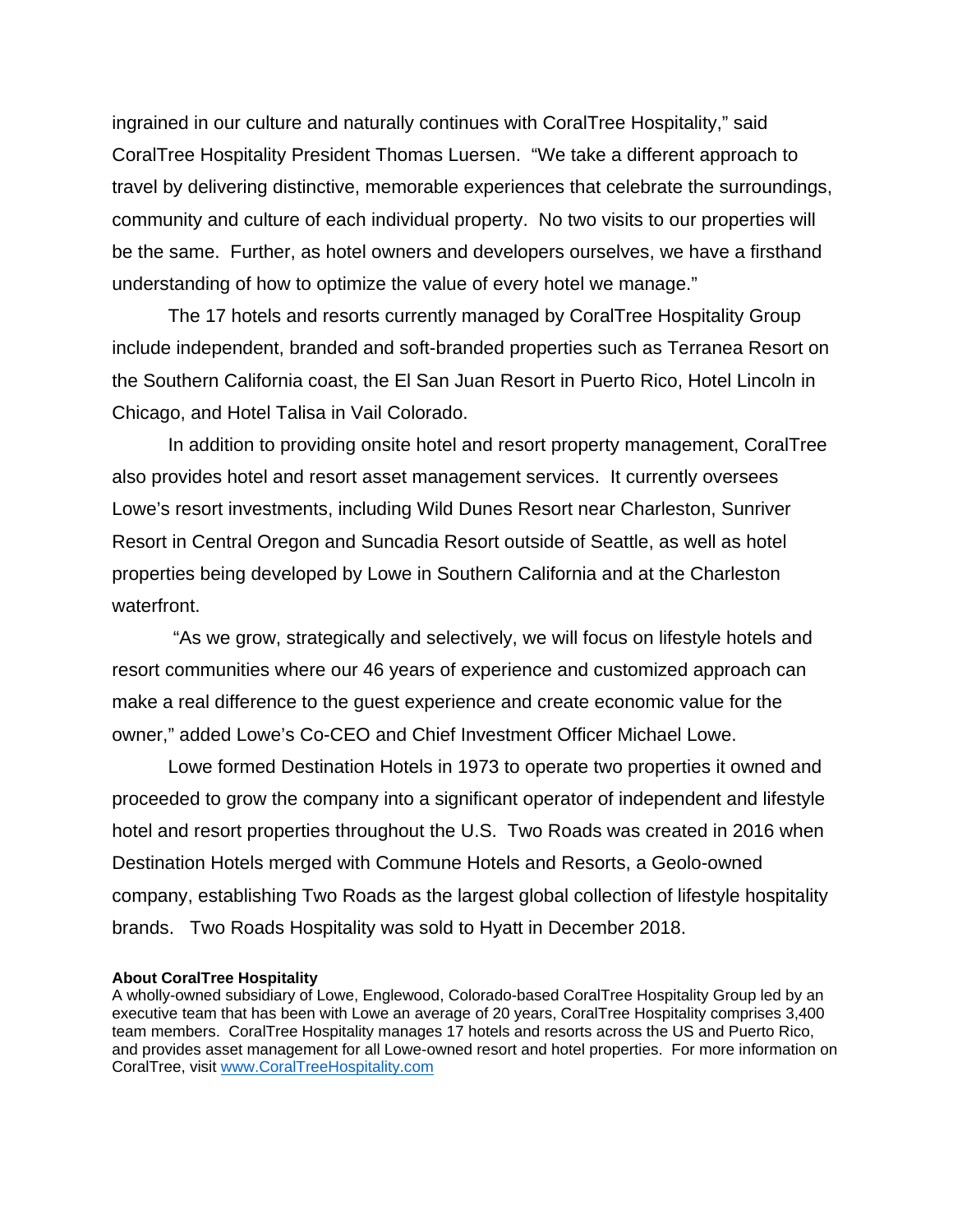ingrained in our culture and naturally continues with CoralTree Hospitality," said CoralTree Hospitality President Thomas Luersen. "We take a different approach to travel by delivering distinctive, memorable experiences that celebrate the surroundings, community and culture of each individual property. No two visits to our properties will be the same. Further, as hotel owners and developers ourselves, we have a firsthand understanding of how to optimize the value of every hotel we manage."

The 17 hotels and resorts currently managed by CoralTree Hospitality Group include independent, branded and soft-branded properties such as Terranea Resort on the Southern California coast, the El San Juan Resort in Puerto Rico, Hotel Lincoln in Chicago, and Hotel Talisa in Vail Colorado.

In addition to providing onsite hotel and resort property management, CoralTree also provides hotel and resort asset management services. It currently oversees Lowe's resort investments, including Wild Dunes Resort near Charleston, Sunriver Resort in Central Oregon and Suncadia Resort outside of Seattle, as well as hotel properties being developed by Lowe in Southern California and at the Charleston waterfront.

 "As we grow, strategically and selectively, we will focus on lifestyle hotels and resort communities where our 46 years of experience and customized approach can make a real difference to the guest experience and create economic value for the owner," added Lowe's Co-CEO and Chief Investment Officer Michael Lowe.

Lowe formed Destination Hotels in 1973 to operate two properties it owned and proceeded to grow the company into a significant operator of independent and lifestyle hotel and resort properties throughout the U.S. Two Roads was created in 2016 when Destination Hotels merged with Commune Hotels and Resorts, a Geolo-owned company, establishing Two Roads as the largest global collection of lifestyle hospitality brands. Two Roads Hospitality was sold to Hyatt in December 2018.

## **About CoralTree Hospitality**

A wholly-owned subsidiary of Lowe, Englewood, Colorado-based CoralTree Hospitality Group led by an executive team that has been with Lowe an average of 20 years, CoralTree Hospitality comprises 3,400 team members. CoralTree Hospitality manages 17 hotels and resorts across the US and Puerto Rico, and provides asset management for all Lowe-owned resort and hotel properties. For more information on CoralTree, visit www.CoralTreeHospitality.com